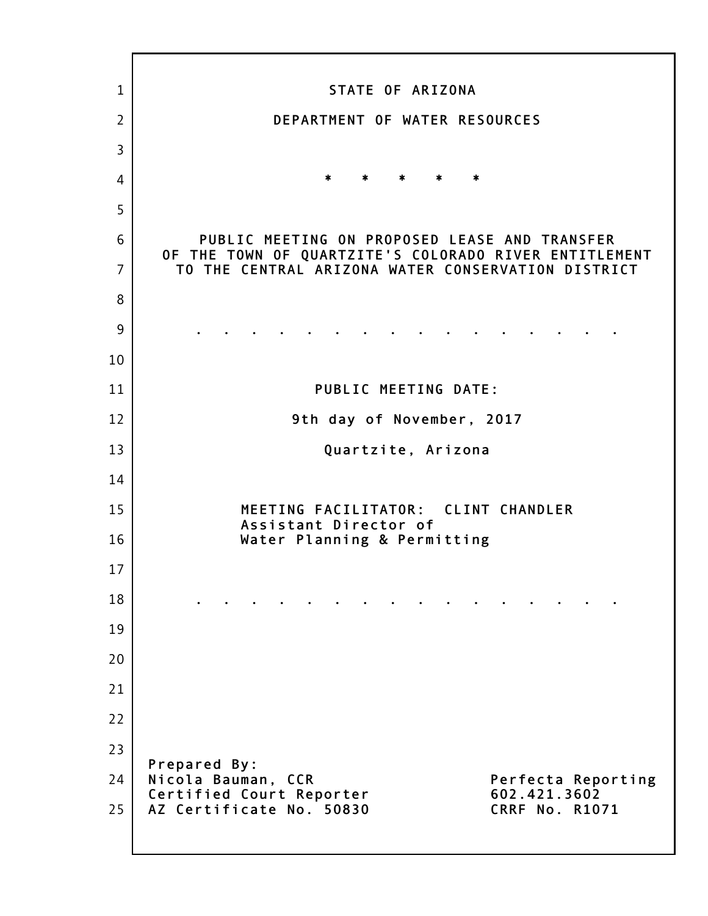| $\mathbf{1}$   | STATE OF ARIZONA                                                                                       |
|----------------|--------------------------------------------------------------------------------------------------------|
| $\overline{2}$ | DEPARTMENT OF WATER RESOURCES                                                                          |
| $\overline{3}$ |                                                                                                        |
| 4              | $*$ $*$<br>*<br>$*$ $*$                                                                                |
| 5              |                                                                                                        |
| 6              | PUBLIC MEETING ON PROPOSED LEASE AND TRANSFER<br>OF THE TOWN OF QUARTZITE'S COLORADO RIVER ENTITLEMENT |
| $\overline{7}$ | TO THE CENTRAL ARIZONA WATER CONSERVATION DISTRICT                                                     |
| 8              |                                                                                                        |
| 9              |                                                                                                        |
| 10             |                                                                                                        |
| 11             | <b>PUBLIC MEETING DATE:</b>                                                                            |
| 12             | 9th day of November, 2017                                                                              |
| 13             | Quartzite, Arizona                                                                                     |
| 14             |                                                                                                        |
| 15             | MEETING FACILITATOR: CLINT CHANDLER<br>Assistant Director of                                           |
| 16             | Water Planning & Permitting                                                                            |
| 17             |                                                                                                        |
| 18             |                                                                                                        |
| 19             |                                                                                                        |
| 20             |                                                                                                        |
| 21             |                                                                                                        |
| 22             |                                                                                                        |
| 23             | Prepared By:                                                                                           |
| 24             | Nicola Bauman, CCR<br>Perfecta Reporting<br>Certified Court Reporter<br>602.421.3602                   |
| 25             | AZ Certificate No. 50830<br><b>CRRF No. R1071</b>                                                      |
|                |                                                                                                        |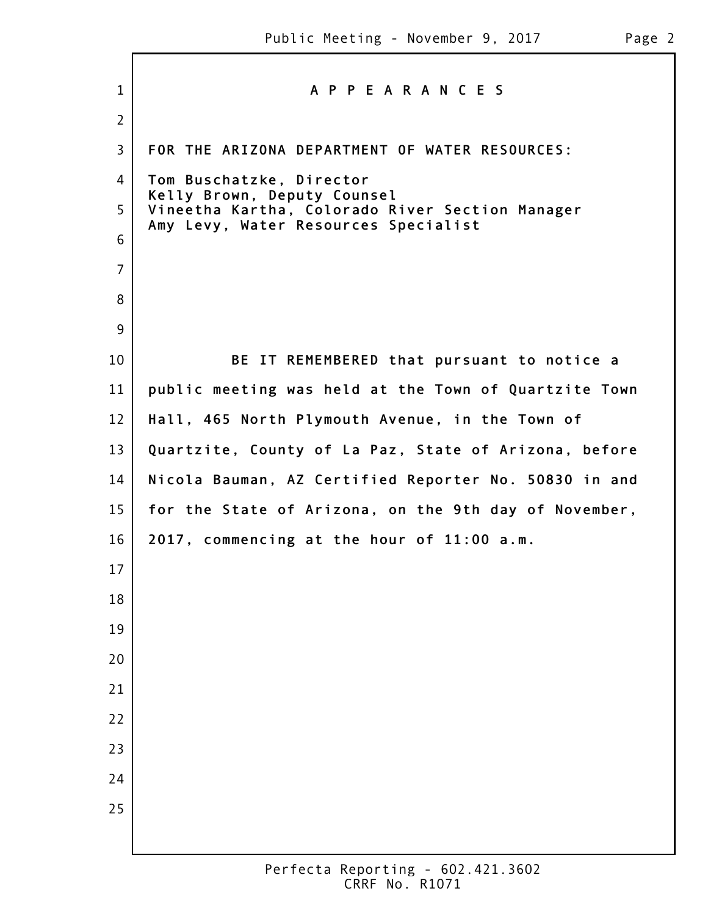Г

| $\mathbf{1}$   | A P P E A R A N C E S                                                          |
|----------------|--------------------------------------------------------------------------------|
| $\overline{2}$ |                                                                                |
| $\overline{3}$ | FOR THE ARIZONA DEPARTMENT OF WATER RESOURCES:                                 |
| 4              | Tom Buschatzke, Director                                                       |
| 5              | Kelly Brown, Deputy Counsel<br>Vineetha Kartha, Colorado River Section Manager |
| 6              | Amy Levy, Water Resources Specialist                                           |
| $\overline{7}$ |                                                                                |
| 8              |                                                                                |
| 9              |                                                                                |
| 10             | BE IT REMEMBERED that pursuant to notice a                                     |
| 11             | public meeting was held at the Town of Quartzite Town                          |
| 12             | Hall, 465 North Plymouth Avenue, in the Town of                                |
| 13             | Quartzite, County of La Paz, State of Arizona, before                          |
| 14             | Nicola Bauman, AZ Certified Reporter No. 50830 in and                          |
| 15             | for the State of Arizona, on the 9th day of November,                          |
| 16             | 2017, commencing at the hour of 11:00 a.m.                                     |
| 17             |                                                                                |
| 18             |                                                                                |
| 19             |                                                                                |
| 20             |                                                                                |
| 21             |                                                                                |
| 22             |                                                                                |
| 23             |                                                                                |
| 24             |                                                                                |
| 25             |                                                                                |
|                |                                                                                |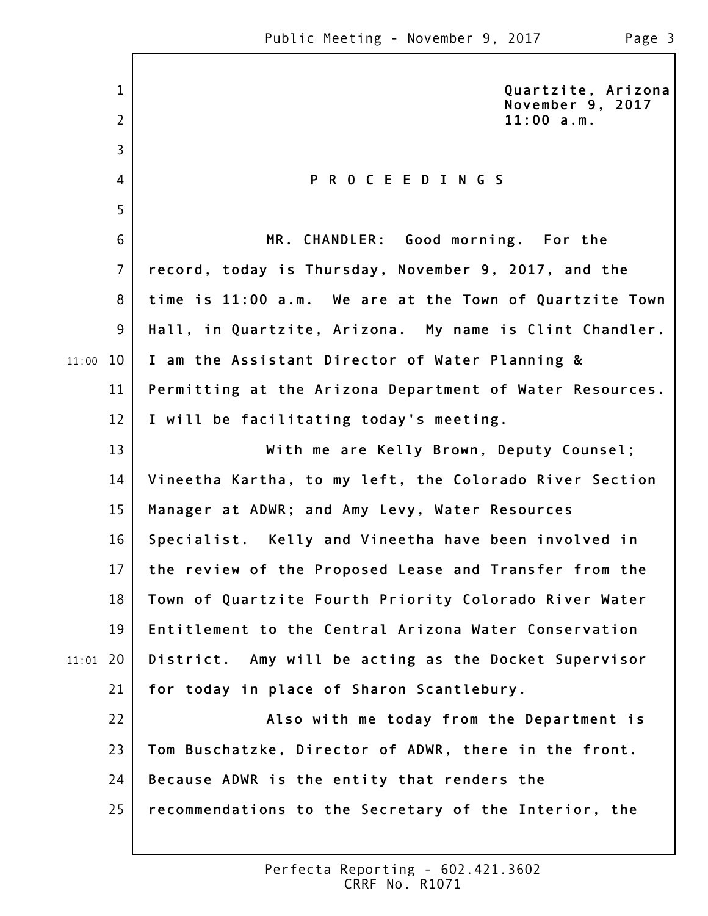1

2

3

4

5

**Quartzite, Arizona November 9, 2017 11:00 a.m.**

## **P R O C E E D I N G S**

6 7 8 9 11:00 10 11 12 13 14 15 16 17 18 19 20 11:01 21 22 23 24 **MR. CHANDLER: Good morning. For the record, today is Thursday, November 9, 2017, and the time is 11:00 a.m. We are at the Town of Quartzite Town Hall, in Quartzite, Arizona. My name is Clint Chandler. I am the Assistant Director of Water Planning & Permitting at the Arizona Department of Water Resources. I will be facilitating today's meeting. With me are Kelly Brown, Deputy Counsel; Vineetha Kartha, to my left, the Colorado River Section Manager at ADWR; and Amy Levy, Water Resources Specialist. Kelly and Vineetha have been involved in the review of the Proposed Lease and Transfer from the Town of Quartzite Fourth Priority Colorado River Water Entitlement to the Central Arizona Water Conservation District. Amy will be acting as the Docket Supervisor for today in place of Sharon Scantlebury. Also with me today from the Department is Tom Buschatzke, Director of ADWR, there in the front. Because ADWR is the entity that renders the**

25 **recommendations to the Secretary of the Interior, the**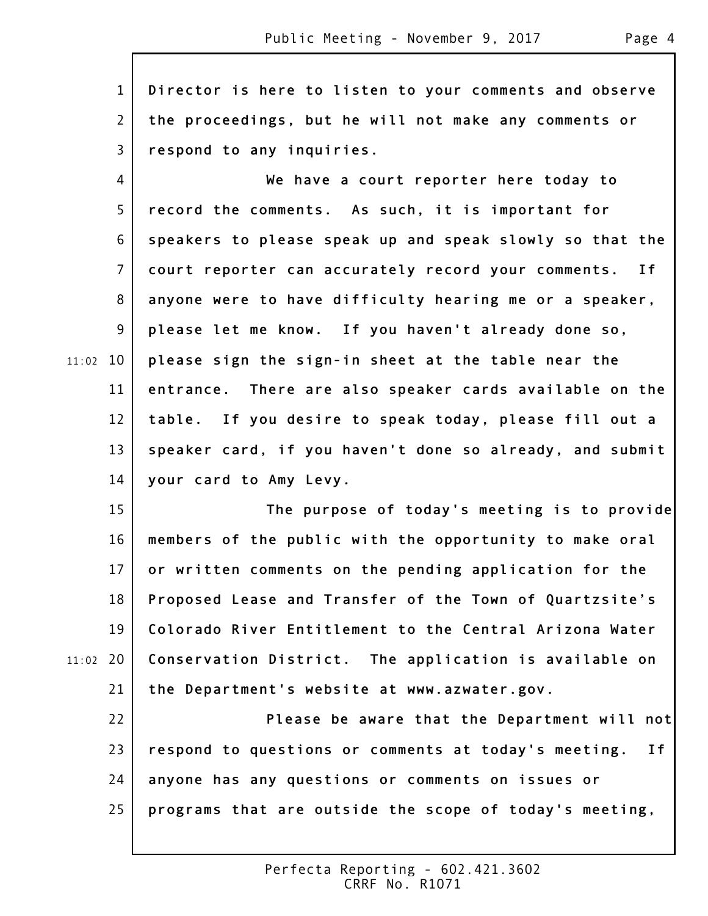1 2 3 4 5 6 7 8 9 11:02 10 11 12 13 14 15 16 17 18 19 20 11:02 21 22 23 24 25 **Director is here to listen to your comments and observe the proceedings, but he will not make any comments or respond to any inquiries. We have a court reporter here today to record the comments. As such, it is important for speakers to please speak up and speak slowly so that the court reporter can accurately record your comments. If anyone were to have difficulty hearing me or a speaker, please let me know. If you haven't already done so, please sign the sign-in sheet at the table near the entrance. There are also speaker cards available on the table. If you desire to speak today, please fill out a speaker card, if you haven't done so already, and submit your card to Amy Levy. The purpose of today's meeting is to provide members of the public with the opportunity to make oral or written comments on the pending application for the Proposed Lease and Transfer of the Town of Quartzsite's Colorado River Entitlement to the Central Arizona Water Conservation District. The application is available on the Department's website at www.azwater.gov. Please be aware that the Department will not respond to questions or comments at today's meeting. If anyone has any questions or comments on issues or programs that are outside the scope of today's meeting,**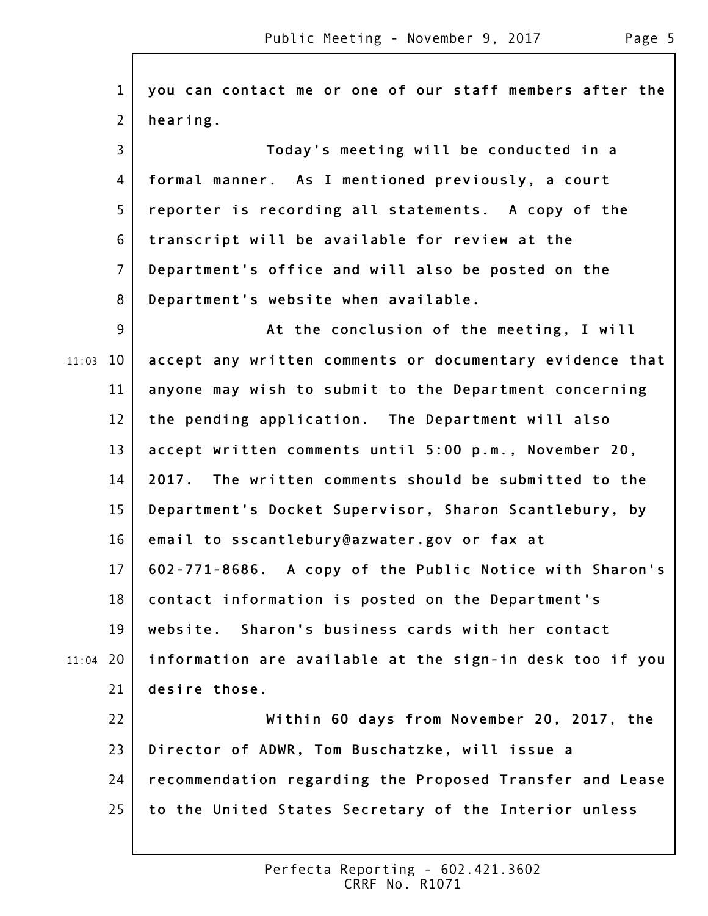1 2 3 4 5 6 7 8 9 11:03 10 11 12 13 14 15 16 17 18 19 20 11:04 21 22 23 24 25 **you can contact me or one of our staff members after the hearing. Today's meeting will be conducted in a formal manner. As I mentioned previously, a court reporter is recording all statements. A copy of the transcript will be available for review at the Department's office and will also be posted on the Department's website when available. At the conclusion of the meeting, I will accept any written comments or documentary evidence that anyone may wish to submit to the Department concerning the pending application. The Department will also accept written comments until 5:00 p.m., November 20, 2017. The written comments should be submitted to the Department's Docket Supervisor, Sharon Scantlebury, by email to sscantlebury@azwater.gov or fax at 602-771-8686. A copy of the Public Notice with Sharon's contact information is posted on the Department's website. Sharon's business cards with her contact information are available at the sign-in desk too if you desire those. Within 60 days from November 20, 2017, the Director of ADWR, Tom Buschatzke, will issue a recommendation regarding the Proposed Transfer and Lease to the United States Secretary of the Interior unless**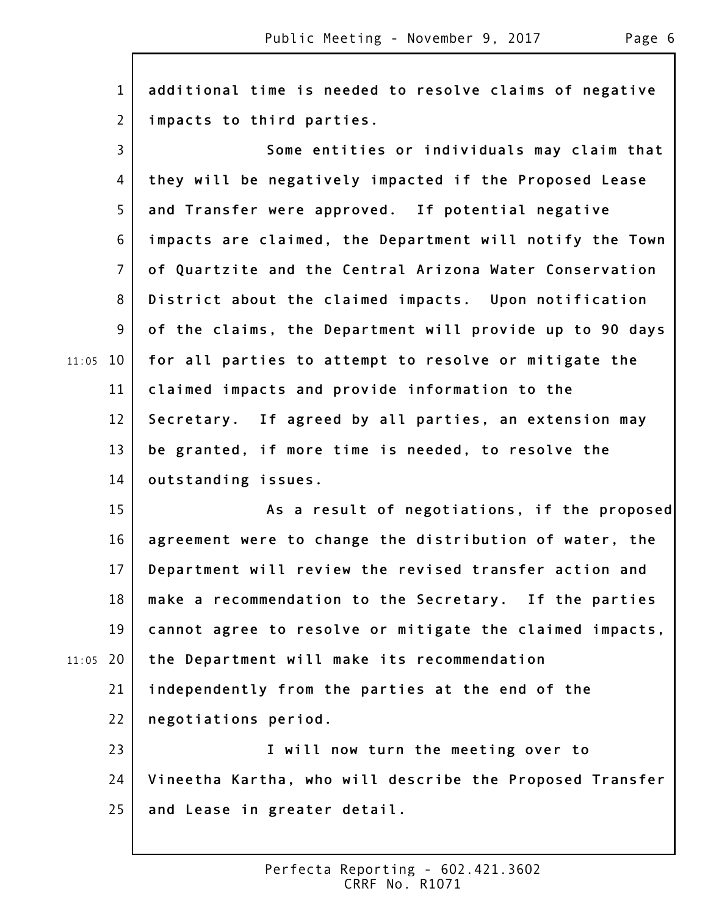1 2 3 4 5 6 7 8 9 11:05 10 11 12 13 14 15 16 17 18 19 20 11:05 21 22 23 24 25 **additional time is needed to resolve claims of negative impacts to third parties. Some entities or individuals may claim that they will be negatively impacted if the Proposed Lease and Transfer were approved. If potential negative impacts are claimed, the Department will notify the Town of Quartzite and the Central Arizona Water Conservation District about the claimed impacts. Upon notification of the claims, the Department will provide up to 90 days for all parties to attempt to resolve or mitigate the claimed impacts and provide information to the Secretary. If agreed by all parties, an extension may be granted, if more time is needed, to resolve the outstanding issues. As a result of negotiations, if the proposed agreement were to change the distribution of water, the Department will review the revised transfer action and make a recommendation to the Secretary. If the parties cannot agree to resolve or mitigate the claimed impacts, the Department will make its recommendation independently from the parties at the end of the negotiations period. I will now turn the meeting over to Vineetha Kartha, who will describe the Proposed Transfer and Lease in greater detail.**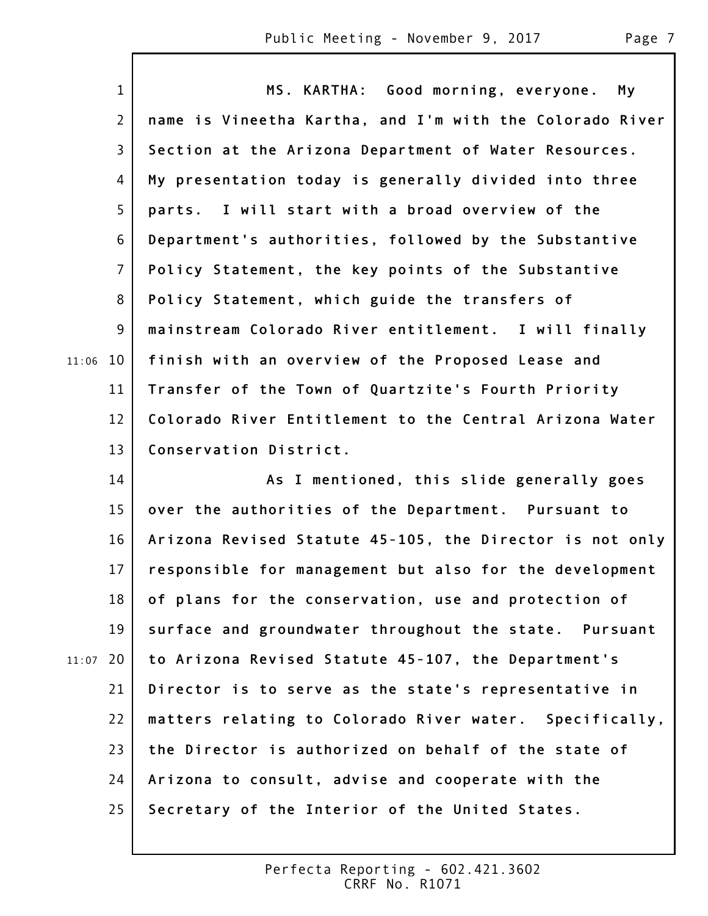|       | $\mathbf{1}$   | MS. KARTHA: Good morning, everyone.<br>My                |
|-------|----------------|----------------------------------------------------------|
|       | $\overline{2}$ | name is Vineetha Kartha, and I'm with the Colorado River |
|       | $\overline{3}$ | Section at the Arizona Department of Water Resources.    |
|       | 4              | My presentation today is generally divided into three    |
|       | 5              | parts. I will start with a broad overview of the         |
|       | 6              | Department's authorities, followed by the Substantive    |
|       | $\overline{7}$ | Policy Statement, the key points of the Substantive      |
|       | 8              | Policy Statement, which guide the transfers of           |
|       | 9              | mainstream Colorado River entitlement. I will finally    |
| 11:06 | 10             | finish with an overview of the Proposed Lease and        |
|       | 11             | Transfer of the Town of Quartzite's Fourth Priority      |
|       | 12             | Colorado River Entitlement to the Central Arizona Water  |
|       | 13             | Conservation District.                                   |
|       | 14             | As I mentioned, this slide generally goes                |
|       | 15             | over the authorities of the Department. Pursuant to      |
|       | 16             | Arizona Revised Statute 45-105, the Director is not only |
|       | 17             | responsible for management but also for the development  |
|       | 18             | of plans for the conservation, use and protection of     |
|       | 19             | surface and groundwater throughout the state. Pursuant   |
| 11:07 | 20             | to Arizona Revised Statute 45-107, the Department's      |
|       | 21             | Director is to serve as the state's representative in    |
|       | 22             | matters relating to Colorado River water. Specifically,  |
|       | 23             | the Director is authorized on behalf of the state of     |
|       | 24             | Arizona to consult, advise and cooperate with the        |
|       | 25             | Secretary of the Interior of the United States.          |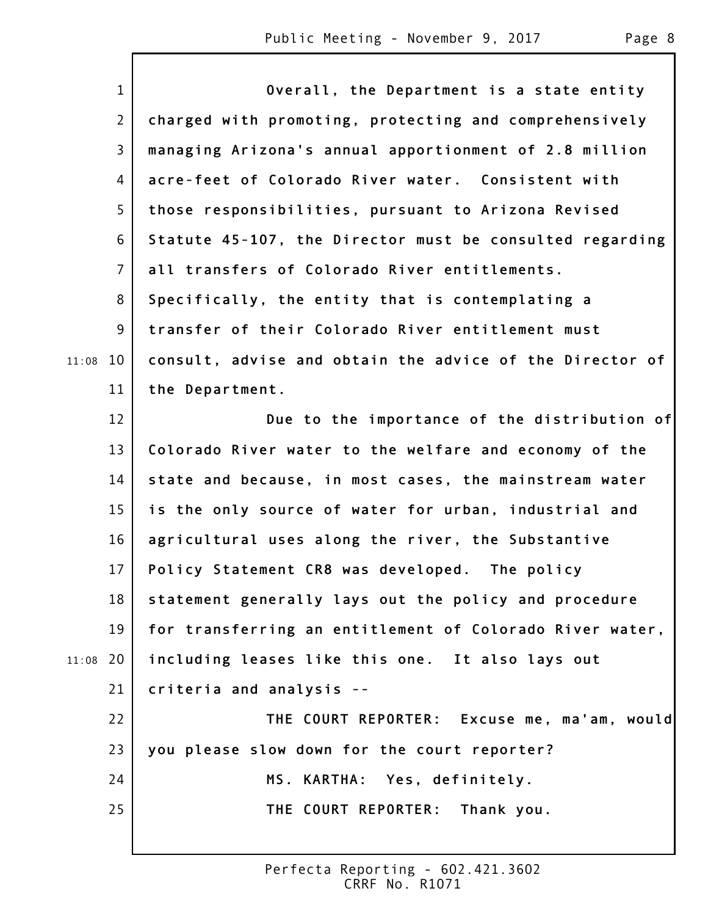$\mathsf{l}$ 

|       | $\mathbf{1}$   | Overall, the Department is a state entity                |
|-------|----------------|----------------------------------------------------------|
|       | $\overline{2}$ | charged with promoting, protecting and comprehensively   |
|       | 3              | managing Arizona's annual apportionment of 2.8 million   |
|       | 4              | acre-feet of Colorado River water. Consistent with       |
|       | 5              | those responsibilities, pursuant to Arizona Revised      |
|       | 6              | Statute 45-107, the Director must be consulted regarding |
|       | $\overline{7}$ | all transfers of Colorado River entitlements.            |
|       | 8              | Specifically, the entity that is contemplating a         |
|       | 9              | transfer of their Colorado River entitlement must        |
| 11:08 | 10             | consult, advise and obtain the advice of the Director of |
|       | 11             | the Department.                                          |
|       | 12             | Due to the importance of the distribution of             |
|       | 13             | Colorado River water to the welfare and economy of the   |
|       | 14             | state and because, in most cases, the mainstream water   |
|       | 15             | is the only source of water for urban, industrial and    |
|       | 16             | agricultural uses along the river, the Substantive       |
|       | 17             | Policy Statement CR8 was developed. The policy           |
|       | 18             | statement generally lays out the policy and procedure    |
|       | 19             | for transferring an entitlement of Colorado River water, |
| 11:08 | 20             | including leases like this one. It also lays out         |
|       | 21             | criteria and analysis --                                 |
|       | 22             | THE COURT REPORTER: Excuse me, ma'am, would              |
|       | 23             | you please slow down for the court reporter?             |
|       | 24             | MS. KARTHA: Yes, definitely.                             |
|       | 25             | THE COURT REPORTER: Thank you.                           |
|       |                |                                                          |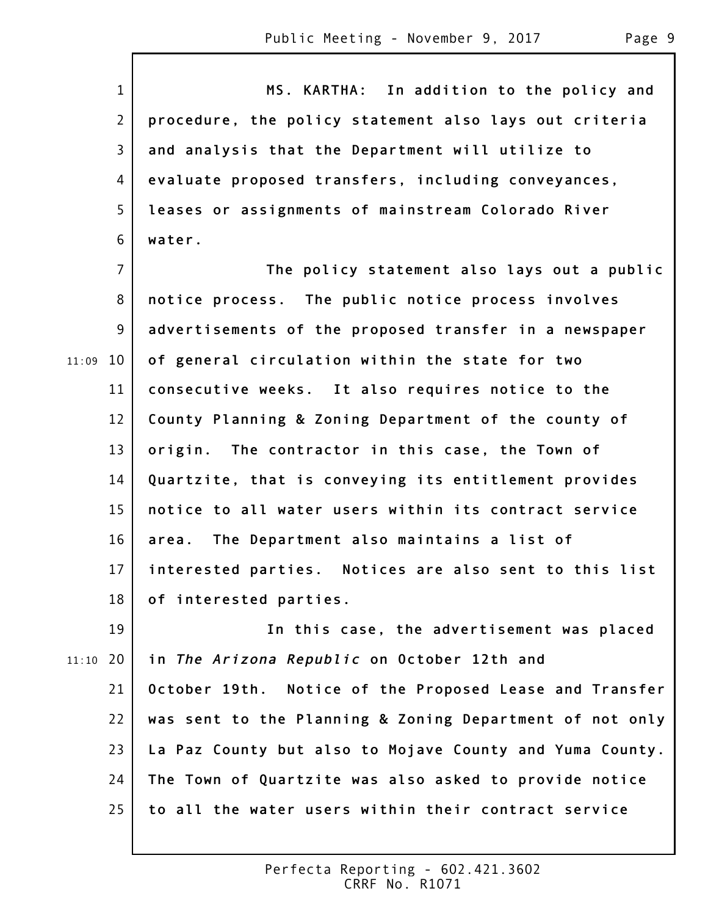|       | $\mathbf{1}$    | MS. KARTHA: In addition to the policy and                |
|-------|-----------------|----------------------------------------------------------|
|       | $\overline{2}$  | procedure, the policy statement also lays out criteria   |
|       | 3               | and analysis that the Department will utilize to         |
|       | 4               | evaluate proposed transfers, including conveyances,      |
|       | 5               | leases or assignments of mainstream Colorado River       |
|       | 6               | water.                                                   |
|       | $\overline{7}$  |                                                          |
|       |                 | The policy statement also lays out a public              |
|       | 8               | notice process. The public notice process involves       |
|       | 9               | advertisements of the proposed transfer in a newspaper   |
| 11:09 | 10              | of general circulation within the state for two          |
|       | 11              | consecutive weeks. It also requires notice to the        |
|       | 12              | County Planning & Zoning Department of the county of     |
|       | 13              | origin. The contractor in this case, the Town of         |
|       | 14              | Quartzite, that is conveying its entitlement provides    |
|       | 15              | notice to all water users within its contract service    |
|       | 16              | The Department also maintains a list of<br>area.         |
|       | 17 <sup>1</sup> | interested parties. Notices are also sent to this list   |
|       | 18              | of interested parties.                                   |
|       | 19              | In this case, the advertisement was placed               |
| 11:10 | 20              | in The Arizona Republic on October 12th and              |
|       | 21              | October 19th. Notice of the Proposed Lease and Transfer  |
|       | 22              | was sent to the Planning & Zoning Department of not only |
|       | 23              | La Paz County but also to Mojave County and Yuma County. |
|       | 24              | The Town of Quartzite was also asked to provide notice   |
|       | 25              | to all the water users within their contract service     |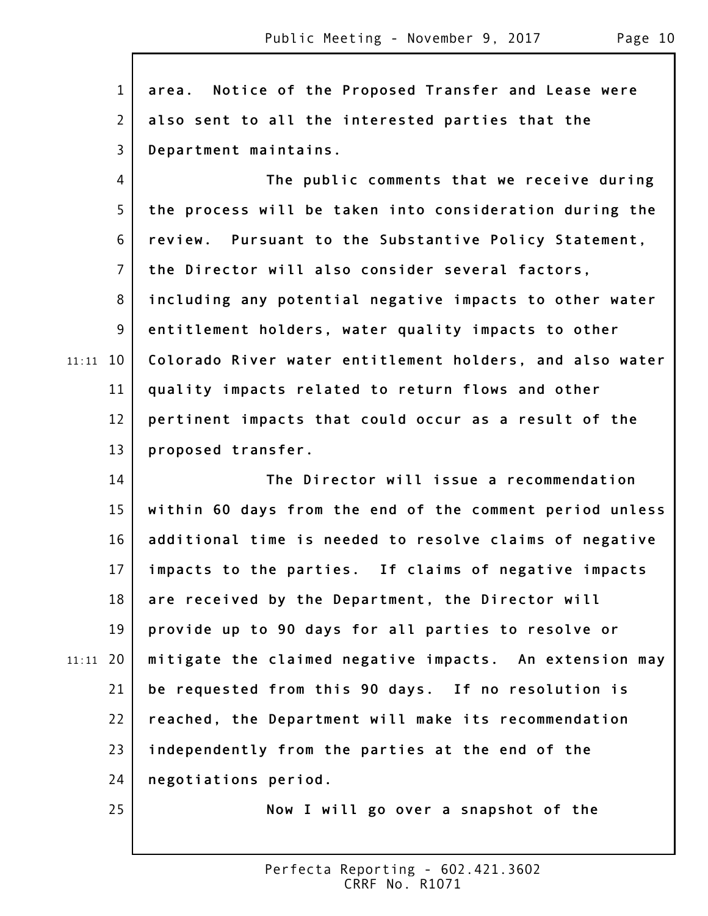1 2 3 4 5 6 7 8 9 11:11 10 11 12 13 14 15 16 17 18 19 20 11:11 21 22 23 24 25 **area. Notice of the Proposed Transfer and Lease were also sent to all the interested parties that the Department maintains. The public comments that we receive during the process will be taken into consideration during the review. Pursuant to the Substantive Policy Statement, the Director will also consider several factors, including any potential negative impacts to other water entitlement holders, water quality impacts to other Colorado River water entitlement holders, and also water quality impacts related to return flows and other pertinent impacts that could occur as a result of the proposed transfer. The Director will issue a recommendation within 60 days from the end of the comment period unless additional time is needed to resolve claims of negative impacts to the parties. If claims of negative impacts are received by the Department, the Director will provide up to 90 days for all parties to resolve or mitigate the claimed negative impacts. An extension may be requested from this 90 days. If no resolution is reached, the Department will make its recommendation independently from the parties at the end of the negotiations period. Now I will go over a snapshot of the**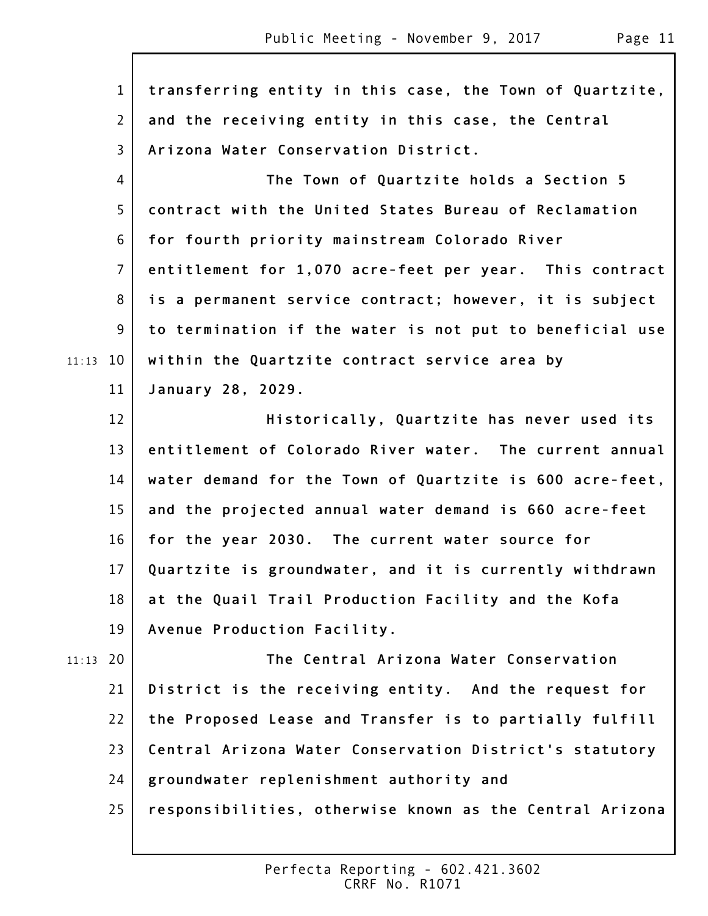1 2 3 4 5 6 7 8 9 11:13 10 11 12 13 14 15 16 17 18 19 20 11:13 21 22 23 24 25 **transferring entity in this case, the Town of Quartzite, and the receiving entity in this case, the Central Arizona Water Conservation District. The Town of Quartzite holds a Section 5 contract with the United States Bureau of Reclamation for fourth priority mainstream Colorado River entitlement for 1,070 acre-feet per year. This contract is a permanent service contract; however, it is subject to termination if the water is not put to beneficial use within the Quartzite contract service area by January 28, 2029. Historically, Quartzite has never used its entitlement of Colorado River water. The current annual water demand for the Town of Quartzite is 600 acre-feet, and the projected annual water demand is 660 acre-feet for the year 2030. The current water source for Quartzite is groundwater, and it is currently withdrawn at the Quail Trail Production Facility and the Kofa Avenue Production Facility. The Central Arizona Water Conservation District is the receiving entity. And the request for the Proposed Lease and Transfer is to partially fulfill Central Arizona Water Conservation District's statutory groundwater replenishment authority and responsibilities, otherwise known as the Central Arizona**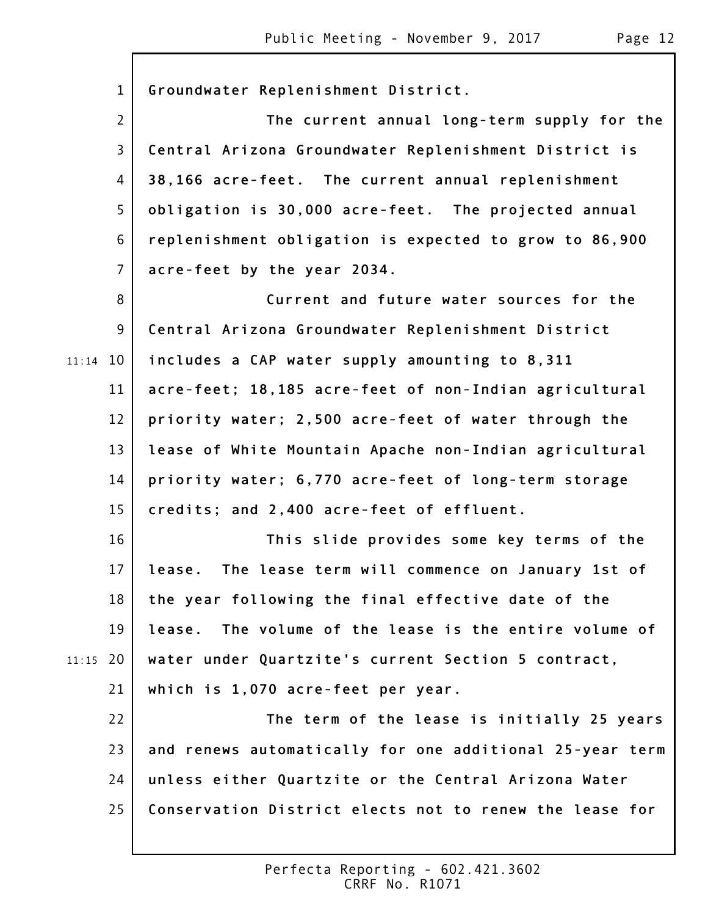|       | $\mathbf{1}$   | Groundwater Replenishment District.                       |
|-------|----------------|-----------------------------------------------------------|
|       | $\overline{2}$ | The current annual long-term supply for the               |
|       | 3              | Central Arizona Groundwater Replenishment District is     |
|       | 4              | 38,166 acre-feet. The current annual replenishment        |
|       | 5              | obligation is 30,000 acre-feet. The projected annual      |
|       | 6              | replenishment obligation is expected to grow to 86,900    |
|       | $\overline{7}$ | acre-feet by the year 2034.                               |
|       | 8              | Current and future water sources for the                  |
|       | 9              | Central Arizona Groundwater Replenishment District        |
| 11:14 | 10             | includes a CAP water supply amounting to 8,311            |
|       | 11             | acre-feet; 18,185 acre-feet of non-Indian agricultural    |
|       | 12             | priority water; 2,500 acre-feet of water through the      |
|       | 13             | lease of White Mountain Apache non-Indian agricultural    |
|       | 14             | priority water; 6,770 acre-feet of long-term storage      |
|       | 15             | credits; and 2,400 acre-feet of effluent.                 |
|       | 16             | This slide provides some key terms of the                 |
|       | 17             | The lease term will commence on January 1st of<br>lease.  |
|       | 18             | the year following the final effective date of the        |
|       | 19             | The volume of the lease is the entire volume of<br>lease. |
| 11:15 | 20             | water under Quartzite's current Section 5 contract,       |
|       | 21             | which is 1,070 acre-feet per year.                        |
|       | 22             | The term of the lease is initially 25 years               |
|       | 23             | and renews automatically for one additional 25-year term  |
|       | 24             | unless either Quartzite or the Central Arizona Water      |
|       | 25             | Conservation District elects not to renew the lease for   |
|       |                |                                                           |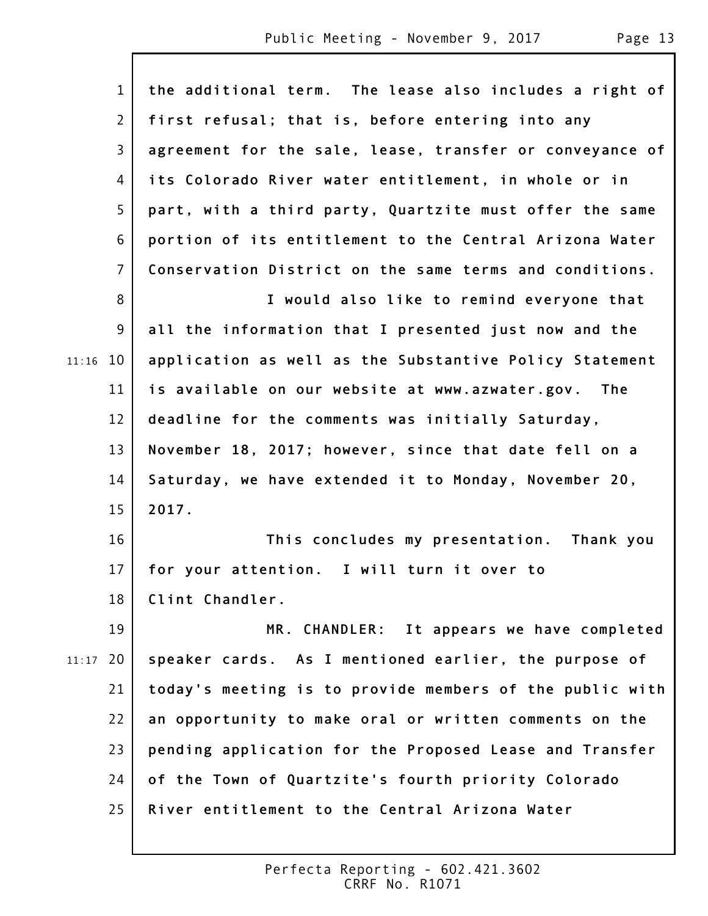$\mathsf{L}$ 

|       | $\mathbf{1}$   | the additional term. The lease also includes a right of  |
|-------|----------------|----------------------------------------------------------|
|       | $\overline{2}$ | first refusal; that is, before entering into any         |
|       | $\mathsf{3}$   | agreement for the sale, lease, transfer or conveyance of |
|       | 4              | its Colorado River water entitlement, in whole or in     |
|       | 5              | part, with a third party, Quartzite must offer the same  |
|       | 6              | portion of its entitlement to the Central Arizona Water  |
|       | $\overline{7}$ | Conservation District on the same terms and conditions.  |
|       | 8              | I would also like to remind everyone that                |
|       | 9              | all the information that I presented just now and the    |
| 11:16 | 10             | application as well as the Substantive Policy Statement  |
|       | 11             | is available on our website at www.azwater.gov.<br>The   |
|       | 12             | deadline for the comments was initially Saturday,        |
|       | 13             | November 18, 2017; however, since that date fell on a    |
|       | 14             | Saturday, we have extended it to Monday, November 20,    |
|       | 15             | 2017.                                                    |
|       | 16             | This concludes my presentation. Thank you                |
|       | 17             | for your attention. I will turn it over to               |
|       | 18             | Clint Chandler.                                          |
|       | 19             | MR. CHANDLER: It appears we have completed               |
| 11:17 | 20             | speaker cards. As I mentioned earlier, the purpose of    |
|       | 21             | today's meeting is to provide members of the public with |
|       | 22             | an opportunity to make oral or written comments on the   |
|       | 23             | pending application for the Proposed Lease and Transfer  |
|       | 24             | of the Town of Quartzite's fourth priority Colorado      |
|       | 25             | River entitlement to the Central Arizona Water           |
|       |                |                                                          |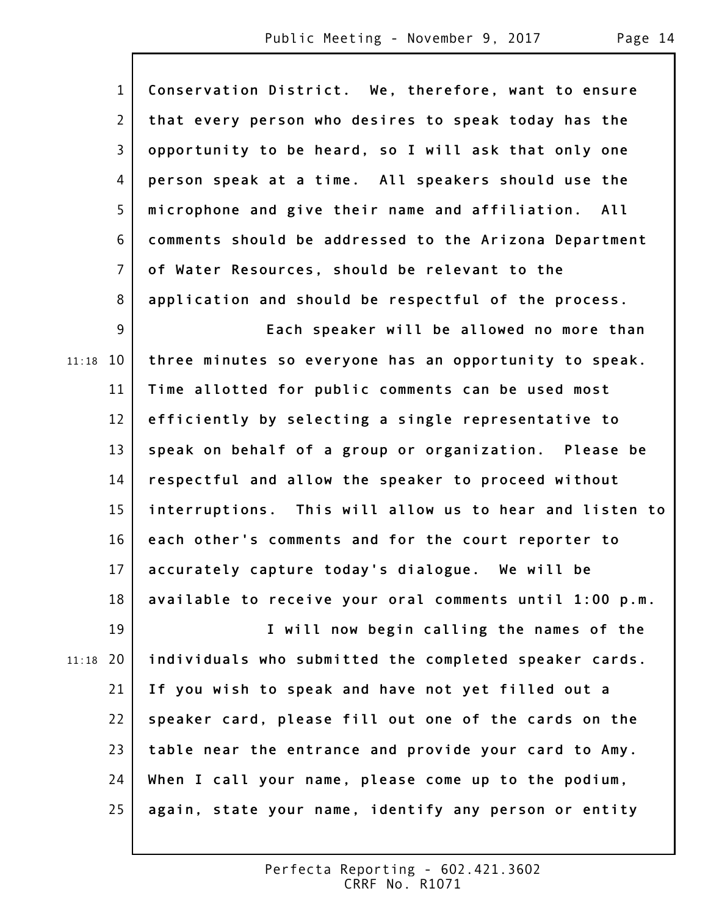1 2 3 4 5 6 7 8 9 11:18 10 11 12 13 14 15 16 17 18 19 20 11:18 21 22 23 24 25 **Conservation District. We, therefore, want to ensure that every person who desires to speak today has the opportunity to be heard, so I will ask that only one person speak at a time. All speakers should use the microphone and give their name and affiliation. All comments should be addressed to the Arizona Department of Water Resources, should be relevant to the application and should be respectful of the process. Each speaker will be allowed no more than three minutes so everyone has an opportunity to speak. Time allotted for public comments can be used most efficiently by selecting a single representative to speak on behalf of a group or organization. Please be respectful and allow the speaker to proceed without interruptions. This will allow us to hear and listen to each other's comments and for the court reporter to accurately capture today's dialogue. We will be available to receive your oral comments until 1:00 p.m. I will now begin calling the names of the individuals who submitted the completed speaker cards. If you wish to speak and have not yet filled out a speaker card, please fill out one of the cards on the table near the entrance and provide your card to Amy. When I call your name, please come up to the podium, again, state your name, identify any person or entity**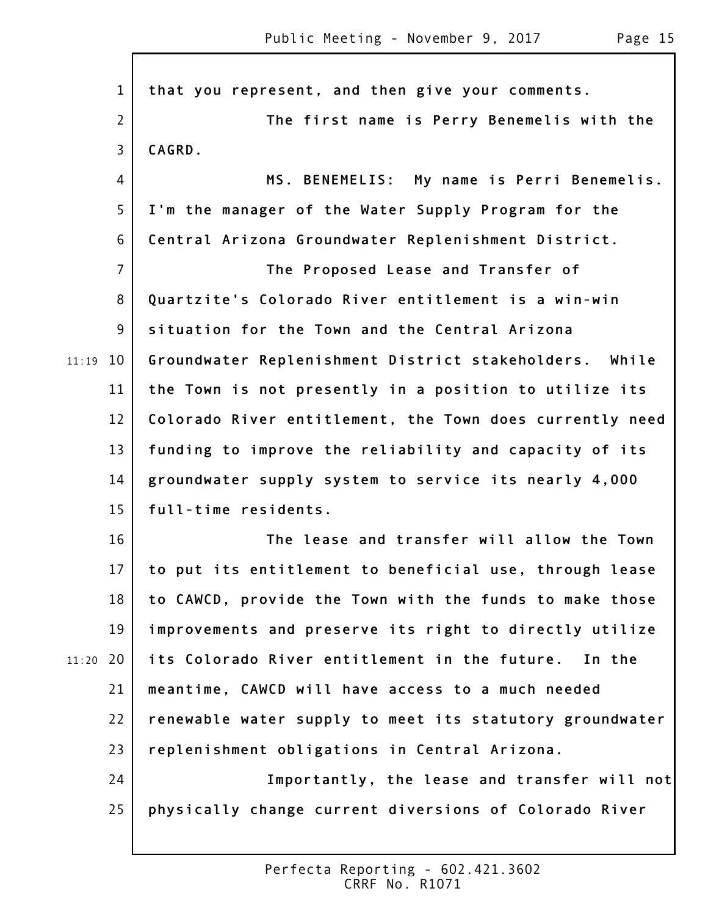1 2 3 4 5 6 7 8 9 11:19 10 11 12 13 14 15 16 17 18 19 20 11:20 21 22 23 24 25 **that you represent, and then give your comments. The first name is Perry Benemelis with the CAGRD. MS. BENEMELIS: My name is Perri Benemelis. I'm the manager of the Water Supply Program for the Central Arizona Groundwater Replenishment District. The Proposed Lease and Transfer of Quartzite's Colorado River entitlement is a win-win situation for the Town and the Central Arizona Groundwater Replenishment District stakeholders. While the Town is not presently in a position to utilize its Colorado River entitlement, the Town does currently need funding to improve the reliability and capacity of its groundwater supply system to service its nearly 4,000 full-time residents. The lease and transfer will allow the Town to put its entitlement to beneficial use, through lease to CAWCD, provide the Town with the funds to make those improvements and preserve its right to directly utilize its Colorado River entitlement in the future. In the meantime, CAWCD will have access to a much needed renewable water supply to meet its statutory groundwater replenishment obligations in Central Arizona. Importantly, the lease and transfer will not physically change current diversions of Colorado River**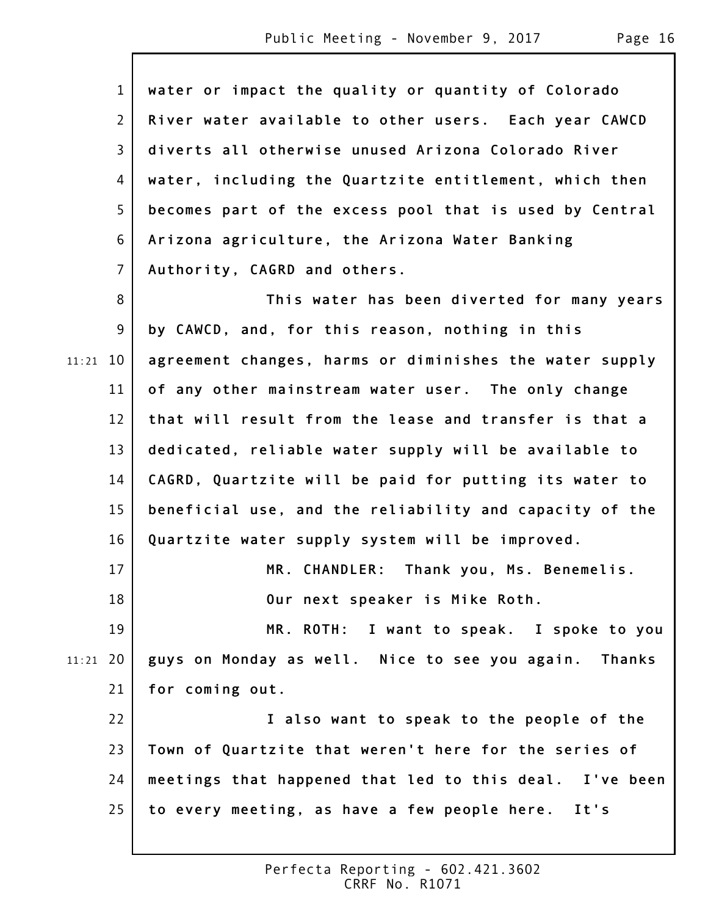|       | $\mathbf{1}$   | water or impact the quality or quantity of Colorado     |
|-------|----------------|---------------------------------------------------------|
|       | $\overline{2}$ | River water available to other users. Each year CAWCD   |
|       | $\overline{3}$ | diverts all otherwise unused Arizona Colorado River     |
|       | 4              | water, including the Quartzite entitlement, which then  |
|       | 5              | becomes part of the excess pool that is used by Central |
|       | 6              | Arizona agriculture, the Arizona Water Banking          |
|       | $\overline{7}$ | Authority, CAGRD and others.                            |
|       | 8              | This water has been diverted for many years             |
|       | 9              | by CAWCD, and, for this reason, nothing in this         |
| 11:21 | 10             | agreement changes, harms or diminishes the water supply |
|       | 11             | of any other mainstream water user. The only change     |
|       | 12             | that will result from the lease and transfer is that a  |
|       | 13             | dedicated, reliable water supply will be available to   |
|       | 14             | CAGRD, Quartzite will be paid for putting its water to  |
|       | 15             | beneficial use, and the reliability and capacity of the |
|       | 16             | Quartzite water supply system will be improved.         |
|       | 17             | MR. CHANDLER: Thank you, Ms. Benemelis.                 |
|       | 18             | Our next speaker is Mike Roth.                          |
|       | 19             | MR. ROTH: I want to speak. I spoke to you               |
| 11:21 | 20             | guys on Monday as well. Nice to see you again. Thanks   |
|       | 21             | for coming out.                                         |
|       | 22             | I also want to speak to the people of the               |
|       | 23             | Town of Quartzite that weren't here for the series of   |
|       | 24             | meetings that happened that led to this deal. I've been |
|       | 25             | to every meeting, as have a few people here. It's       |
|       |                |                                                         |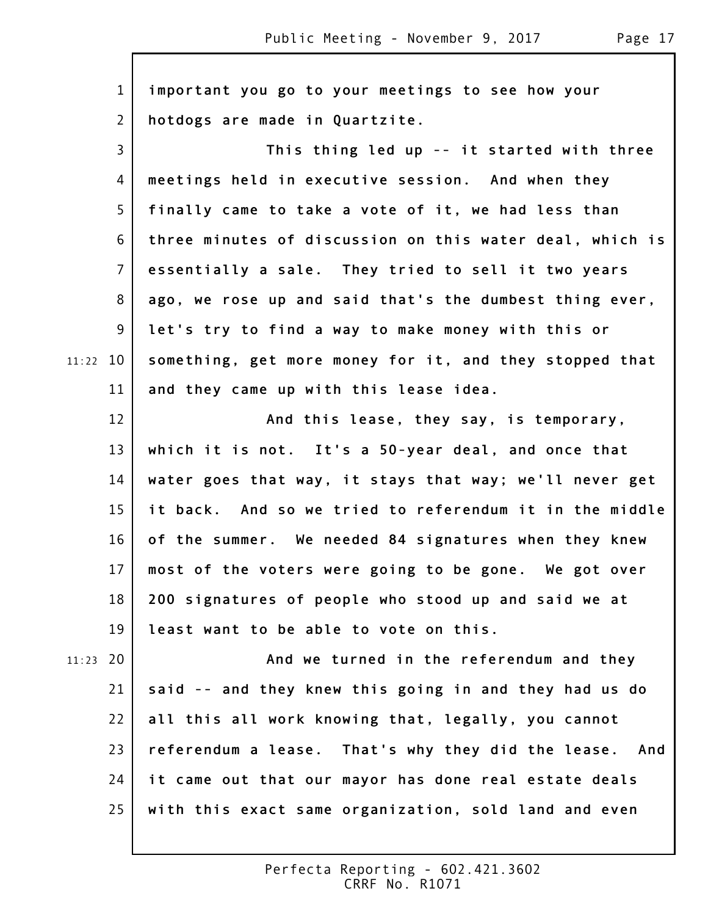1 2 3 4 5 6 7 8 9 10 11:22 11 12 13 14 15 16 17 18 19 20 11:23 21 22 23 24 25 **important you go to your meetings to see how your hotdogs are made in Quartzite. This thing led up -- it started with three meetings held in executive session. And when they finally came to take a vote of it, we had less than three minutes of discussion on this water deal, which is essentially a sale. They tried to sell it two years ago, we rose up and said that's the dumbest thing ever, let's try to find a way to make money with this or something, get more money for it, and they stopped that and they came up with this lease idea. And this lease, they say, is temporary, which it is not. It's a 50-year deal, and once that water goes that way, it stays that way; we'll never get it back. And so we tried to referendum it in the middle of the summer. We needed 84 signatures when they knew most of the voters were going to be gone. We got over 200 signatures of people who stood up and said we at least want to be able to vote on this. And we turned in the referendum and they said -- and they knew this going in and they had us do all this all work knowing that, legally, you cannot referendum a lease. That's why they did the lease. And it came out that our mayor has done real estate deals with this exact same organization, sold land and even**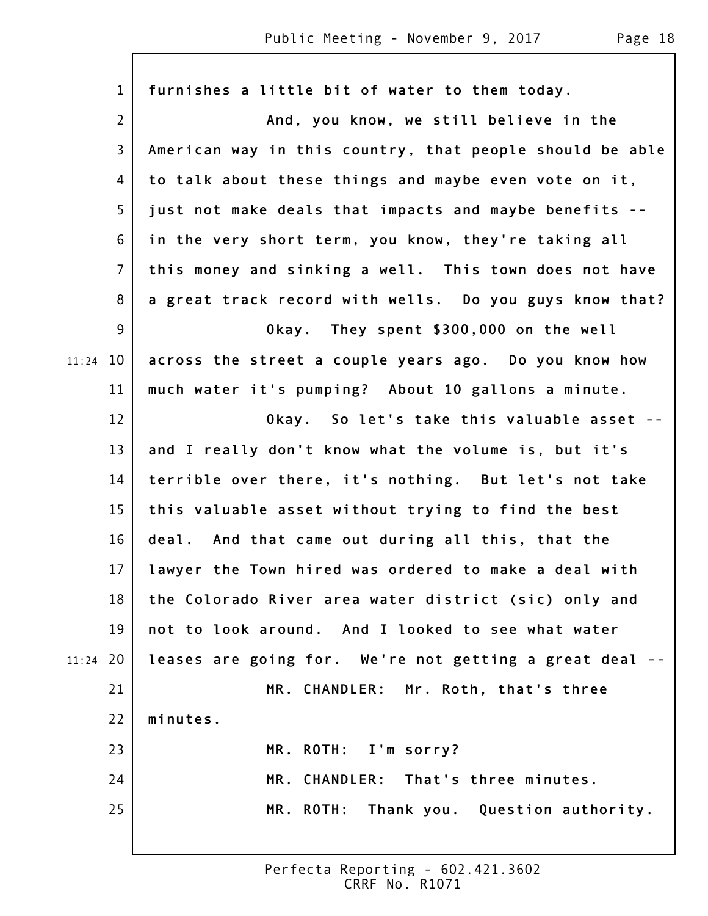|       | $\mathbf{1}$   | furnishes a little bit of water to them today.           |
|-------|----------------|----------------------------------------------------------|
|       | $\overline{2}$ | And, you know, we still believe in the                   |
|       | $\mathsf{3}$   | American way in this country, that people should be able |
|       | 4              | to talk about these things and maybe even vote on it,    |
|       | 5              | just not make deals that impacts and maybe benefits --   |
|       | 6              | in the very short term, you know, they're taking all     |
|       | $\overline{7}$ | this money and sinking a well. This town does not have   |
|       | 8              | a great track record with wells. Do you guys know that?  |
|       | 9              | Okay. They spent \$300,000 on the well                   |
| 11:24 | 10             | across the street a couple years ago. Do you know how    |
|       | 11             | much water it's pumping? About 10 gallons a minute.      |
|       | 12             | Okay. So let's take this valuable asset --               |
|       | 13             | and I really don't know what the volume is, but it's     |
|       | 14             | terrible over there, it's nothing. But let's not take    |
|       | 15             | this valuable asset without trying to find the best      |
|       | 16             | deal. And that came out during all this, that the        |
|       | 17             | lawyer the Town hired was ordered to make a deal with    |
|       | 18             | the Colorado River area water district (sic) only and    |
|       | 19             | not to look around. And I looked to see what water       |
| 11:24 | 20             | leases are going for. We're not getting a great deal --  |
|       | 21             | MR. CHANDLER: Mr. Roth, that's three                     |
|       | 22             | minutes.                                                 |
|       | 23             | MR. ROTH: I'm sorry?                                     |
|       | 24             | MR. CHANDLER: That's three minutes.                      |
|       | 25             | MR. ROTH: Thank you. Question authority.                 |
|       |                |                                                          |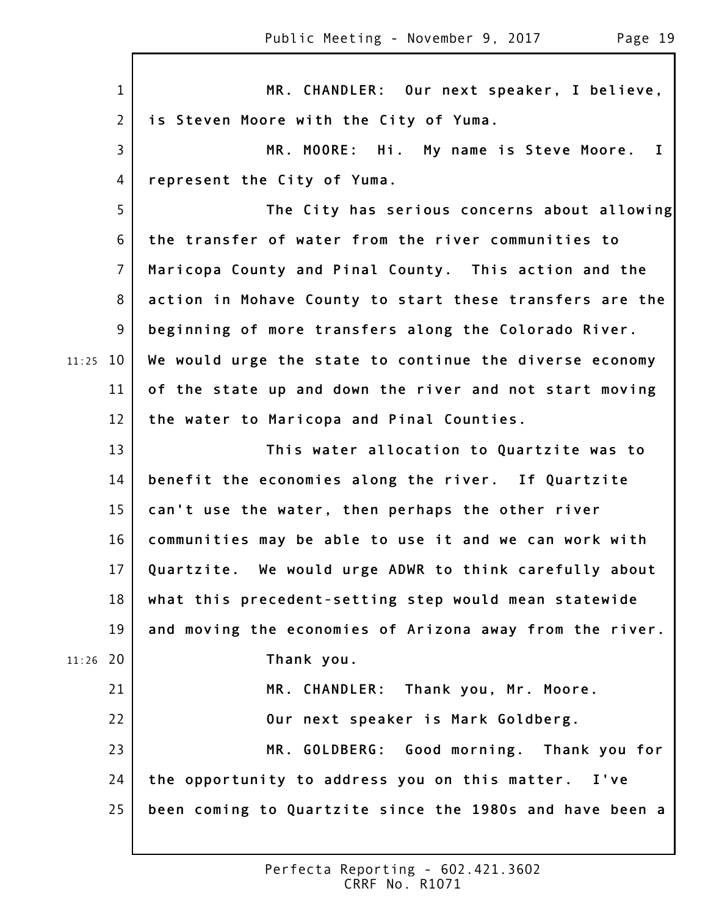|       | $\mathbf{1}$   | MR. CHANDLER: Our next speaker, I believe,               |
|-------|----------------|----------------------------------------------------------|
|       | $\overline{2}$ | is Steven Moore with the City of Yuma.                   |
|       | 3              | MR. MOORE: Hi. My name is Steve Moore.<br>$\mathbf{I}$   |
|       | 4              | represent the City of Yuma.                              |
|       | 5              | The City has serious concerns about allowing             |
|       | 6              | the transfer of water from the river communities to      |
|       | $\overline{7}$ | Maricopa County and Pinal County. This action and the    |
|       | 8              | action in Mohave County to start these transfers are the |
|       | 9              | beginning of more transfers along the Colorado River.    |
| 11:25 | 10             | We would urge the state to continue the diverse economy  |
|       | 11             | of the state up and down the river and not start moving  |
|       | 12             | the water to Maricopa and Pinal Counties.                |
|       | 13             | This water allocation to Quartzite was to                |
|       | 14             | benefit the economies along the river. If Quartzite      |
|       | 15             | can't use the water, then perhaps the other river        |
|       | 16             | communities may be able to use it and we can work with   |
|       | $17 \,$        | Quartzite. We would urge ADWR to think carefully about   |
|       | 18             | what this precedent-setting step would mean statewide    |
|       | 19             | and moving the economies of Arizona away from the river. |
| 11:26 | 20             | Thank you.                                               |
|       | 21             | MR. CHANDLER: Thank you, Mr. Moore.                      |
|       | 22             | Our next speaker is Mark Goldberg.                       |
|       | 23             | MR. GOLDBERG: Good morning. Thank you for                |
|       | 24             | the opportunity to address you on this matter.<br>I've   |
|       | 25             | been coming to Quartzite since the 1980s and have been a |
|       |                |                                                          |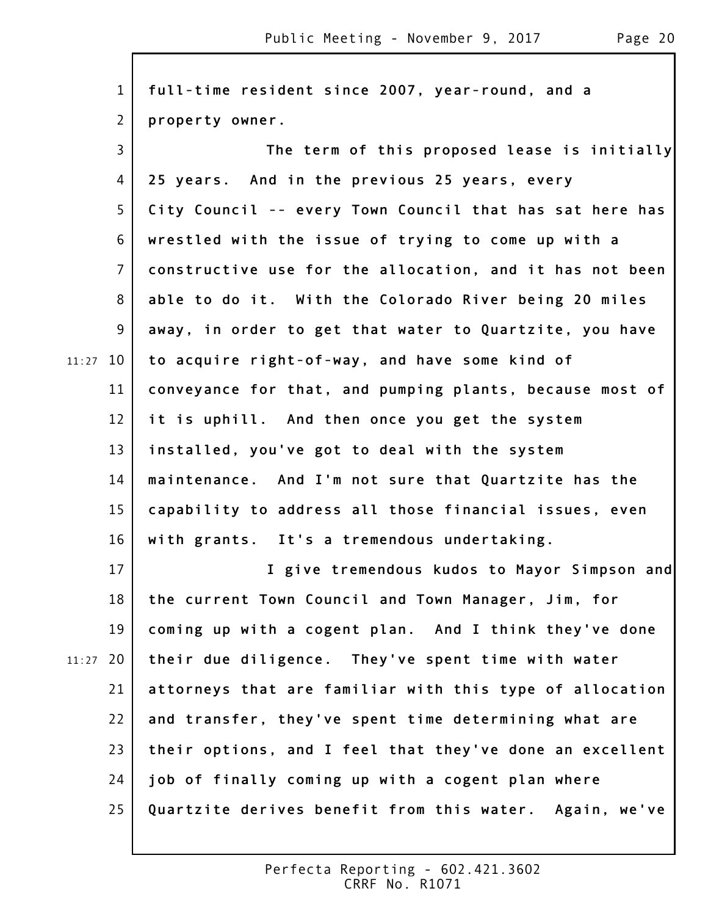1 2 3 4 5 6 7 8 9 11:27 10 11 12 13 14 15 16 17 18 19 20 11:27 21 22 23 24 25 **full-time resident since 2007, year-round, and a property owner. The term of this proposed lease is initially 25 years. And in the previous 25 years, every City Council -- every Town Council that has sat here has wrestled with the issue of trying to come up with a constructive use for the allocation, and it has not been able to do it. With the Colorado River being 20 miles away, in order to get that water to Quartzite, you have to acquire right-of-way, and have some kind of conveyance for that, and pumping plants, because most of it is uphill. And then once you get the system installed, you've got to deal with the system maintenance. And I'm not sure that Quartzite has the capability to address all those financial issues, even with grants. It's a tremendous undertaking. I give tremendous kudos to Mayor Simpson and the current Town Council and Town Manager, Jim, for coming up with a cogent plan. And I think they've done their due diligence. They've spent time with water attorneys that are familiar with this type of allocation and transfer, they've spent time determining what are their options, and I feel that they've done an excellent job of finally coming up with a cogent plan where Quartzite derives benefit from this water. Again, we've**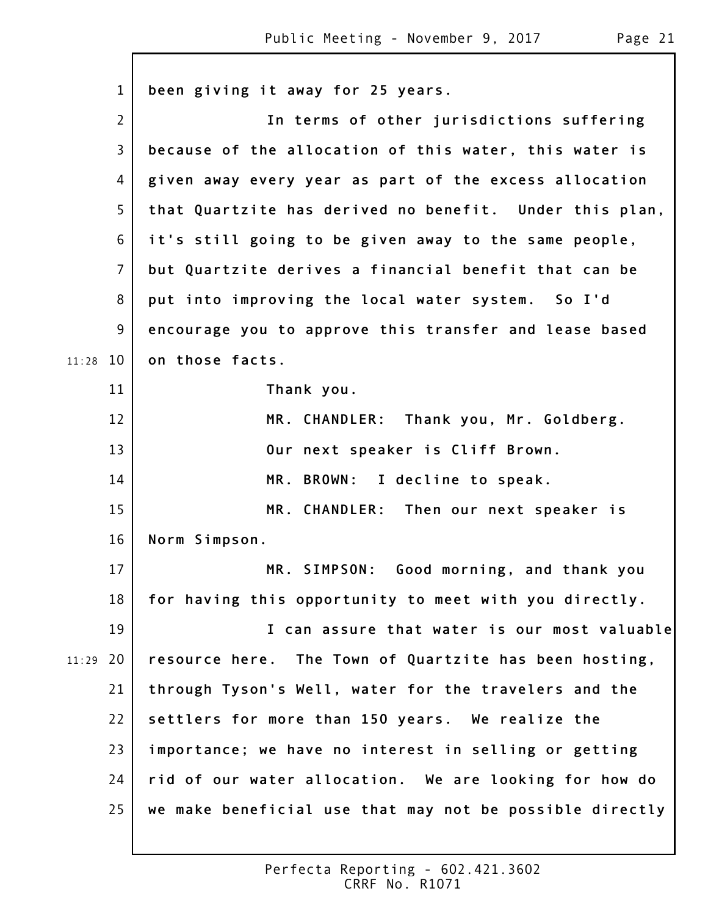|       | $\mathbf{1}$   | been giving it away for 25 years.                        |
|-------|----------------|----------------------------------------------------------|
|       | $\overline{2}$ | In terms of other jurisdictions suffering                |
|       | 3              | because of the allocation of this water, this water is   |
|       | 4              | given away every year as part of the excess allocation   |
|       | 5              | that Quartzite has derived no benefit. Under this plan,  |
|       | 6              | it's still going to be given away to the same people,    |
|       | $\overline{7}$ | but Quartzite derives a financial benefit that can be    |
|       | 8              | put into improving the local water system. So I'd        |
|       | 9              | encourage you to approve this transfer and lease based   |
| 11:28 | 10             | on those facts.                                          |
|       | 11             | Thank you.                                               |
|       | 12             | MR. CHANDLER: Thank you, Mr. Goldberg.                   |
|       | 13             | Our next speaker is Cliff Brown.                         |
|       | 14             | MR. BROWN: I decline to speak.                           |
|       | 15             | MR. CHANDLER: Then our next speaker is                   |
|       | 16             | Norm Simpson.                                            |
|       | 17             | MR. SIMPSON: Good morning, and thank you                 |
|       | 18             | for having this opportunity to meet with you directly.   |
|       | 19             | I can assure that water is our most valuable             |
| 11:29 | 20             | resource here. The Town of Quartzite has been hosting,   |
|       | 21             | through Tyson's Well, water for the travelers and the    |
|       | 22             | settlers for more than 150 years. We realize the         |
|       | 23             | importance; we have no interest in selling or getting    |
|       | 24             | rid of our water allocation. We are looking for how do   |
|       | 25             | we make beneficial use that may not be possible directly |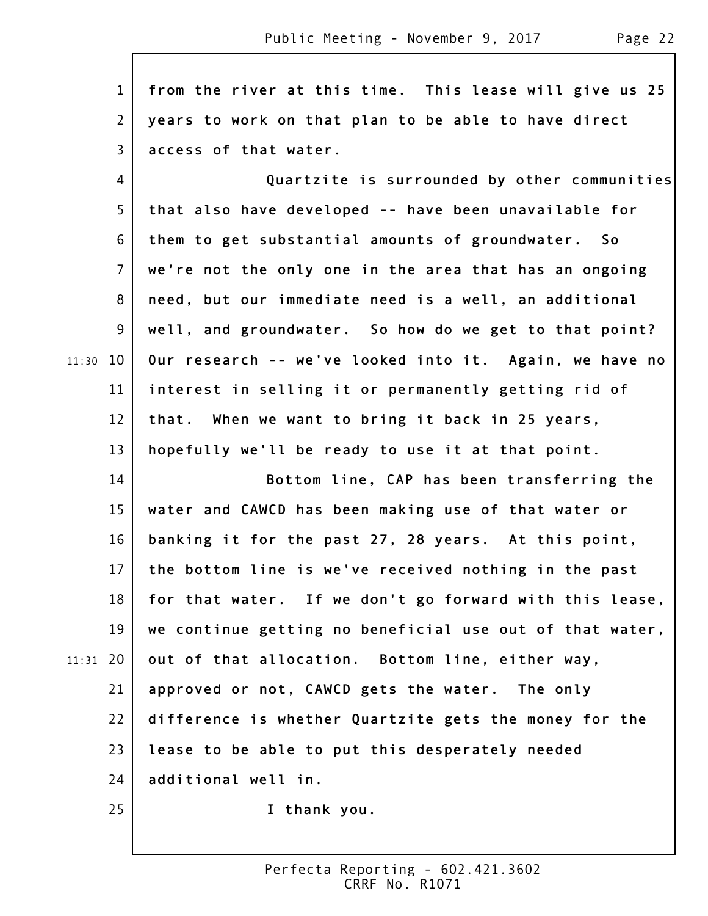1 2 3 4 5 6 7 8 9 11:30 10 11 12 13 14 15 16 17 18 19 20 11:31 21 22 23 **from the river at this time. This lease will give us 25 years to work on that plan to be able to have direct access of that water. Quartzite is surrounded by other communities that also have developed -- have been unavailable for them to get substantial amounts of groundwater. So we're not the only one in the area that has an ongoing need, but our immediate need is a well, an additional well, and groundwater. So how do we get to that point? Our research -- we've looked into it. Again, we have no interest in selling it or permanently getting rid of that. When we want to bring it back in 25 years, hopefully we'll be ready to use it at that point. Bottom line, CAP has been transferring the water and CAWCD has been making use of that water or banking it for the past 27, 28 years. At this point, the bottom line is we've received nothing in the past for that water. If we don't go forward with this lease, we continue getting no beneficial use out of that water, out of that allocation. Bottom line, either way, approved or not, CAWCD gets the water. The only difference is whether Quartzite gets the money for the lease to be able to put this desperately needed**

24 **additional well in.**

25

**I thank you.**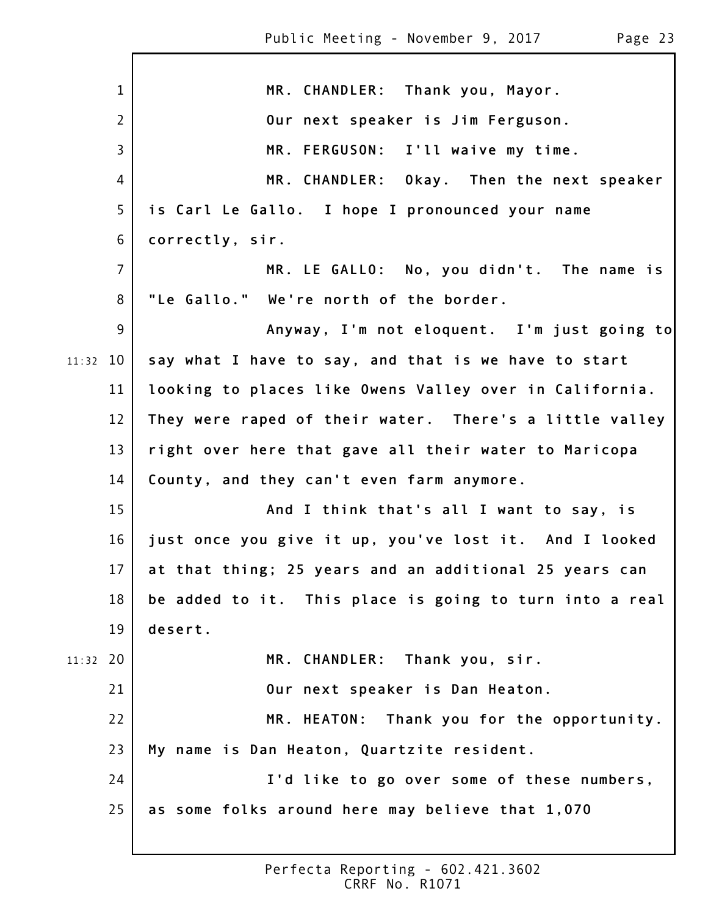|            | $\mathbf{1}$    | MR. CHANDLER: Thank you, Mayor.                         |
|------------|-----------------|---------------------------------------------------------|
|            | $\overline{2}$  | Our next speaker is Jim Ferguson.                       |
|            | $\overline{3}$  | MR. FERGUSON: I'll waive my time.                       |
|            | 4               | MR. CHANDLER: Okay. Then the next speaker               |
|            | 5               | is Carl Le Gallo. I hope I pronounced your name         |
|            | 6               | correctly, sir.                                         |
|            | $\overline{7}$  | MR. LE GALLO: No, you didn't. The name is               |
|            | 8               | "Le Gallo." We're north of the border.                  |
|            | 9               | Anyway, I'm not eloquent. I'm just going to             |
| $11:32$ 10 |                 | say what I have to say, and that is we have to start    |
|            | 11              | looking to places like Owens Valley over in California. |
|            | 12              | They were raped of their water. There's a little valley |
|            | 13              | right over here that gave all their water to Maricopa   |
|            | 14              | County, and they can't even farm anymore.               |
|            | 15              | And I think that's all I want to say, is                |
|            | 16              | just once you give it up, you've lost it. And I looked  |
|            | 17 <sup>1</sup> | at that thing; 25 years and an additional 25 years can  |
|            | 18              | be added to it. This place is going to turn into a real |
|            | 19              | desert.                                                 |
| $11:32$ 20 |                 | MR. CHANDLER: Thank you, sir.                           |
|            | 21              | Our next speaker is Dan Heaton.                         |
|            | 22              | MR. HEATON: Thank you for the opportunity.              |
|            | 23              | My name is Dan Heaton, Quartzite resident.              |
|            | 24              | I'd like to go over some of these numbers,              |
|            | 25              | as some folks around here may believe that 1,070        |
|            |                 |                                                         |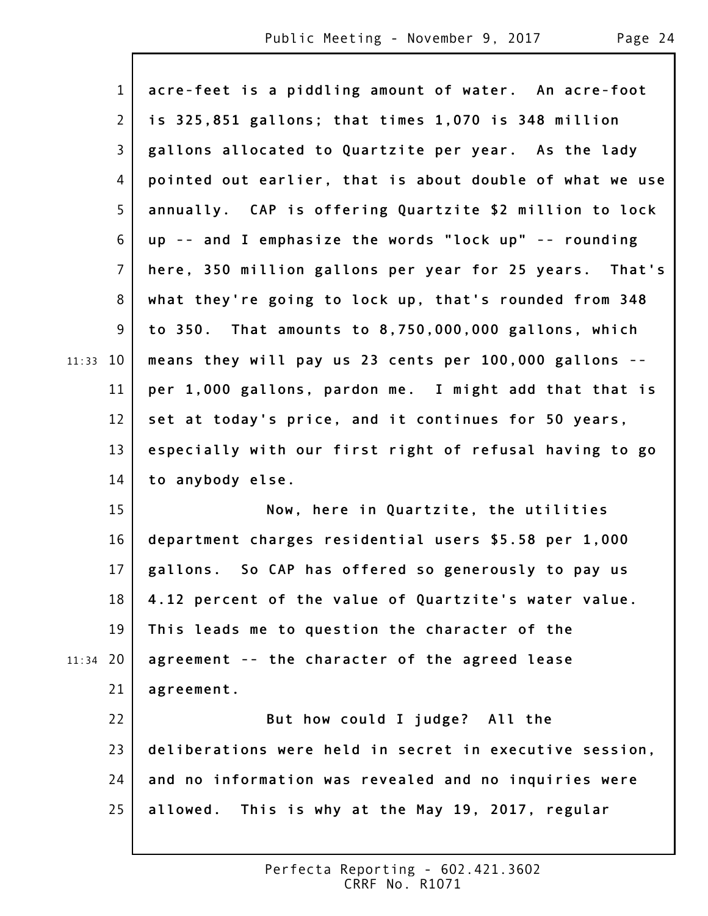$\Gamma$ 

|            | $\mathbf{1}$   | acre-feet is a piddling amount of water. An acre-foot    |
|------------|----------------|----------------------------------------------------------|
|            | $\mathbf{2}$   | is 325,851 gallons; that times 1,070 is 348 million      |
|            | 3              | gallons allocated to Quartzite per year. As the lady     |
|            | 4              | pointed out earlier, that is about double of what we use |
|            | 5              | annually. CAP is offering Quartzite \$2 million to lock  |
|            | 6              | up -- and I emphasize the words "lock up" -- rounding    |
|            | $\overline{7}$ | here, 350 million gallons per year for 25 years. That's  |
|            | 8              | what they're going to lock up, that's rounded from 348   |
|            | 9              | to 350. That amounts to 8,750,000,000 gallons, which     |
| $11:33$ 10 |                | means they will pay us 23 cents per 100,000 gallons --   |
|            | 11             | per 1,000 gallons, pardon me. I might add that that is   |
|            | 12             | set at today's price, and it continues for 50 years,     |
|            | 13             | especially with our first right of refusal having to go  |
|            | 14             | to anybody else.                                         |
|            | 15             | Now, here in Quartzite, the utilities                    |
|            | 16             | department charges residential users \$5.58 per 1,000    |
|            | 17             | gallons. So CAP has offered so generously to pay us      |
|            | 18             | 4.12 percent of the value of Quartzite's water value.    |
|            | 19             | This leads me to question the character of the           |
| 11:34      | 20             | agreement -- the character of the agreed lease           |
|            | 21             | agreement.                                               |
|            | 22             | But how could I judge? All the                           |
|            | 23             | deliberations were held in secret in executive session,  |
|            | 24             | and no information was revealed and no inquiries were    |
|            | 25             | allowed. This is why at the May 19, 2017, regular        |
|            |                |                                                          |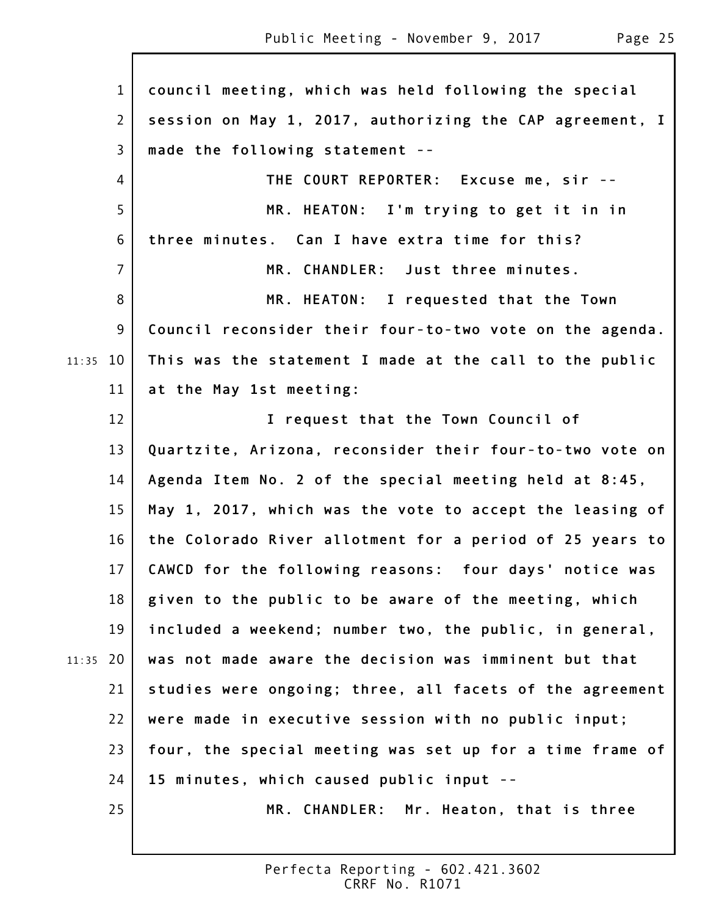1 2 3 4 5 6 7 8 9 11:35 10 11 12 13 14 15 16 17 18 19 20 11:35 21 22 23 24 25 **council meeting, which was held following the special session on May 1, 2017, authorizing the CAP agreement, I made the following statement -- THE COURT REPORTER: Excuse me, sir -- MR. HEATON: I'm trying to get it in in three minutes. Can I have extra time for this? MR. CHANDLER: Just three minutes. MR. HEATON: I requested that the Town Council reconsider their four-to-two vote on the agenda. This was the statement I made at the call to the public at the May 1st meeting: I request that the Town Council of Quartzite, Arizona, reconsider their four-to-two vote on Agenda Item No. 2 of the special meeting held at 8:45, May 1, 2017, which was the vote to accept the leasing of the Colorado River allotment for a period of 25 years to CAWCD for the following reasons: four days' notice was given to the public to be aware of the meeting, which included a weekend; number two, the public, in general, was not made aware the decision was imminent but that studies were ongoing; three, all facets of the agreement were made in executive session with no public input; four, the special meeting was set up for a time frame of 15 minutes, which caused public input -- MR. CHANDLER: Mr. Heaton, that is three**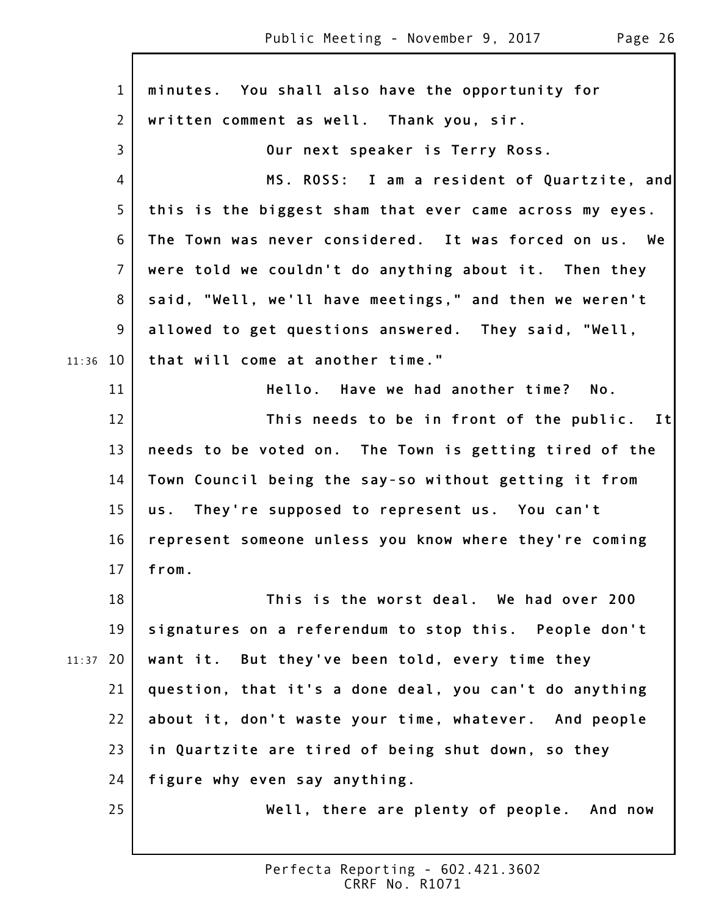1 2 3 4 5 6 7 8 9 11:36 10 11 12 13 14 15 16 17 18 19 20 11:37 21 22 23 24 25 **minutes. You shall also have the opportunity for written comment as well. Thank you, sir. Our next speaker is Terry Ross. MS. ROSS: I am a resident of Quartzite, and this is the biggest sham that ever came across my eyes. The Town was never considered. It was forced on us. We were told we couldn't do anything about it. Then they said, "Well, we'll have meetings," and then we weren't allowed to get questions answered. They said, "Well, that will come at another time." Hello. Have we had another time? No. This needs to be in front of the public. It needs to be voted on. The Town is getting tired of the Town Council being the say-so without getting it from us. They're supposed to represent us. You can't represent someone unless you know where they're coming from. This is the worst deal. We had over 200 signatures on a referendum to stop this. People don't want it. But they've been told, every time they question, that it's a done deal, you can't do anything about it, don't waste your time, whatever. And people in Quartzite are tired of being shut down, so they figure why even say anything. Well, there are plenty of people. And now**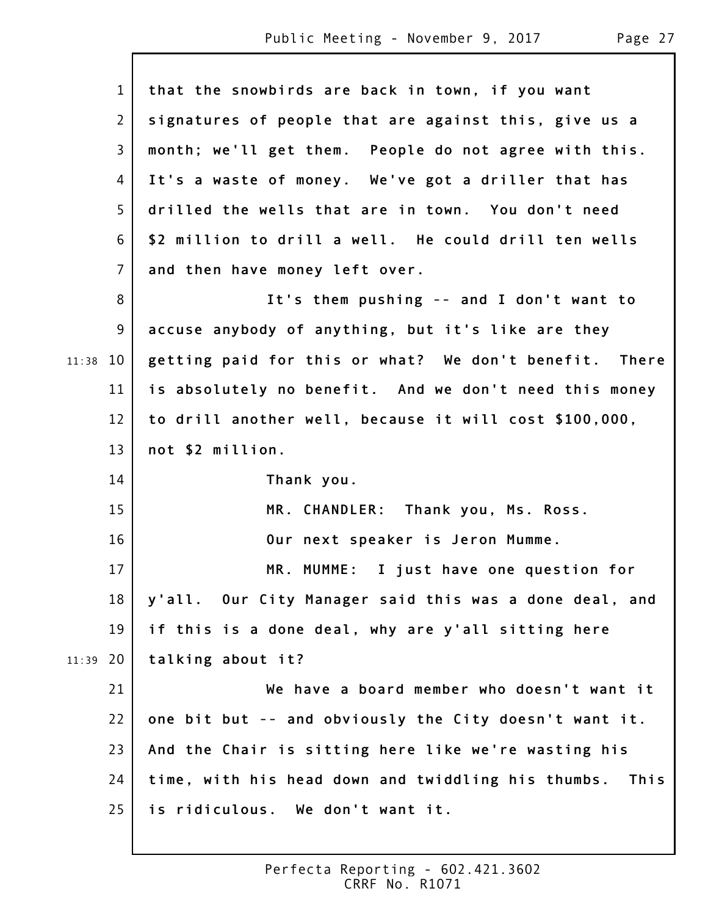$\mathsf{l}$ 

|       | $\mathbf{1}$   | that the snowbirds are back in town, if you want        |
|-------|----------------|---------------------------------------------------------|
|       | $\overline{2}$ | signatures of people that are against this, give us a   |
|       | $\mathsf{3}$   | month; we'll get them. People do not agree with this.   |
|       | 4              | It's a waste of money. We've got a driller that has     |
|       | 5              | drilled the wells that are in town. You don't need      |
|       | 6              | \$2 million to drill a well. He could drill ten wells   |
|       | $\overline{7}$ | and then have money left over.                          |
|       | 8              | It's them pushing -- and I don't want to                |
|       | 9              | accuse anybody of anything, but it's like are they      |
| 11:38 | 10             | getting paid for this or what? We don't benefit. There  |
|       | 11             | is absolutely no benefit. And we don't need this money  |
|       | 12             | to drill another well, because it will cost \$100,000,  |
|       | 13             | not \$2 million.                                        |
|       | 14             | Thank you.                                              |
|       | 15             | MR. CHANDLER: Thank you, Ms. Ross.                      |
|       | 16             | Our next speaker is Jeron Mumme.                        |
|       | 17             | MR. MUMME: I just have one question for                 |
|       | 18             | y'all. Our City Manager said this was a done deal, and  |
|       | 19             | if this is a done deal, why are y'all sitting here      |
| 11:39 | 20             | talking about it?                                       |
|       | 21             | We have a board member who doesn't want it              |
|       | 22             | one bit but -- and obviously the City doesn't want it.  |
|       | 23             | And the Chair is sitting here like we're wasting his    |
|       | 24             | time, with his head down and twiddling his thumbs. This |
|       | 25             | is ridiculous. We don't want it.                        |
|       |                |                                                         |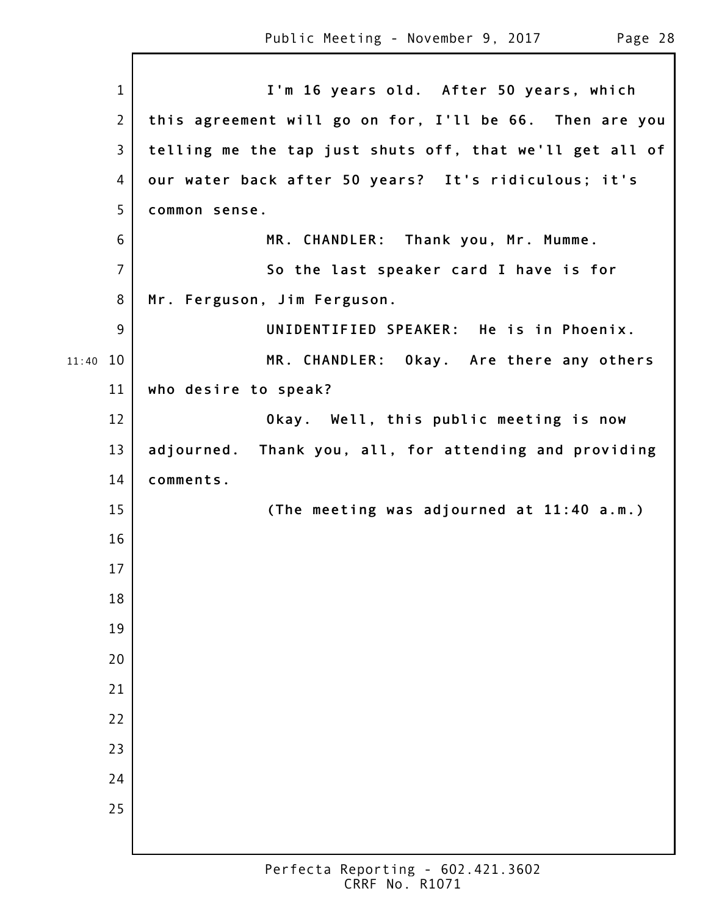|       | $\mathbf{1}$   | I'm 16 years old. After 50 years, which                  |
|-------|----------------|----------------------------------------------------------|
|       | $\overline{2}$ | this agreement will go on for, I'll be 66. Then are you  |
|       | 3              |                                                          |
|       |                | telling me the tap just shuts off, that we'll get all of |
|       | 4              | our water back after 50 years? It's ridiculous; it's     |
|       | 5              | common sense.                                            |
|       | 6              | MR. CHANDLER: Thank you, Mr. Mumme.                      |
|       | $\overline{7}$ | So the last speaker card I have is for                   |
|       | 8              | Mr. Ferguson, Jim Ferguson.                              |
|       | 9              | UNIDENTIFIED SPEAKER: He is in Phoenix.                  |
| 11:40 | 10             | MR. CHANDLER: Okay. Are there any others                 |
|       | 11             | who desire to speak?                                     |
|       | 12             | Okay. Well, this public meeting is now                   |
|       | 13             | adjourned. Thank you, all, for attending and providing   |
|       | 14             | comments.                                                |
|       | 15             | (The meeting was adjourned at 11:40 a.m.)                |
|       | 16             |                                                          |
|       | 17             |                                                          |
|       | 18             |                                                          |
|       | 19             |                                                          |
|       | 20             |                                                          |
|       | 21             |                                                          |
|       | 22             |                                                          |
|       | 23             |                                                          |
|       | 24             |                                                          |
|       | 25             |                                                          |
|       |                |                                                          |
|       |                |                                                          |